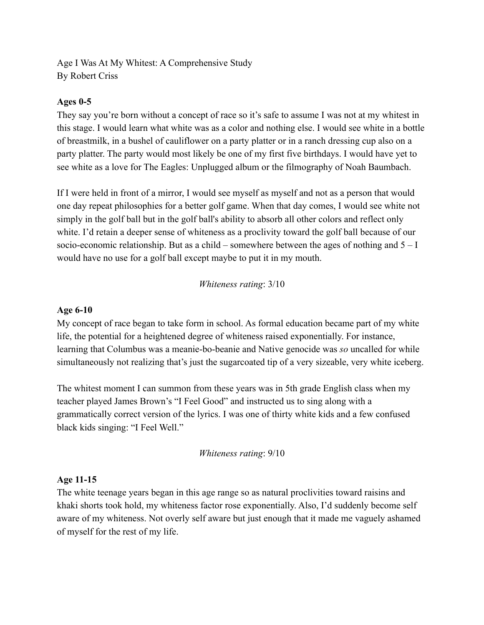Age I Was At My Whitest: A Comprehensive Study By Robert Criss

## **Ages 0-5**

They say you're born without a concept of race so it's safe to assume I was not at my whitest in this stage. I would learn what white was as a color and nothing else. I would see white in a bottle of breastmilk, in a bushel of cauliflower on a party platter or in a ranch dressing cup also on a party platter. The party would most likely be one of my first five birthdays. I would have yet to see white as a love for The Eagles: Unplugged album or the filmography of Noah Baumbach.

If I were held in front of a mirror, I would see myself as myself and not as a person that would one day repeat philosophies for a better golf game. When that day comes, I would see white not simply in the golf ball but in the golf ball's ability to absorb all other colors and reflect only white. I'd retain a deeper sense of whiteness as a proclivity toward the golf ball because of our socio-economic relationship. But as a child – somewhere between the ages of nothing and  $5 - I$ would have no use for a golf ball except maybe to put it in my mouth.

*Whiteness rating*: 3/10

#### **Age 6-10**

My concept of race began to take form in school. As formal education became part of my white life, the potential for a heightened degree of whiteness raised exponentially. For instance, learning that Columbus was a meanie-bo-beanie and Native genocide was *so* uncalled for while simultaneously not realizing that's just the sugarcoated tip of a very sizeable, very white iceberg.

The whitest moment I can summon from these years was in 5th grade English class when my teacher played James Brown's "I Feel Good" and instructed us to sing along with a grammatically correct version of the lyrics. I was one of thirty white kids and a few confused black kids singing: "I Feel Well."

*Whiteness rating*: 9/10

#### **Age 11-15**

The white teenage years began in this age range so as natural proclivities toward raisins and khaki shorts took hold, my whiteness factor rose exponentially. Also, I'd suddenly become self aware of my whiteness. Not overly self aware but just enough that it made me vaguely ashamed of myself for the rest of my life.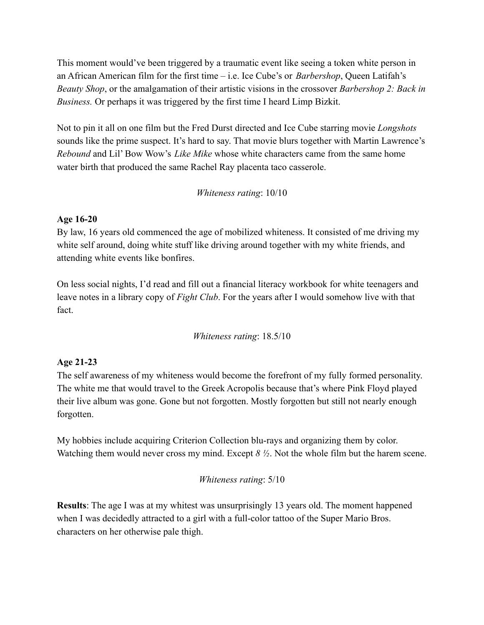This moment would've been triggered by a traumatic event like seeing a token white person in an African American film for the first time – i.e. Ice Cube's or *Barbershop*, Queen Latifah's *Beauty Shop*, or the amalgamation of their artistic visions in the crossover *Barbershop 2: Back in Business.* Or perhaps it was triggered by the first time I heard Limp Bizkit.

Not to pin it all on one film but the Fred Durst directed and Ice Cube starring movie *Longshots* sounds like the prime suspect. It's hard to say. That movie blurs together with Martin Lawrence's *Rebound* and Lil' Bow Wow's *Like Mike* whose white characters came from the same home water birth that produced the same Rachel Ray placenta taco casserole.

*Whiteness rating*: 10/10

## **Age 16-20**

By law, 16 years old commenced the age of mobilized whiteness. It consisted of me driving my white self around, doing white stuff like driving around together with my white friends, and attending white events like bonfires.

On less social nights, I'd read and fill out a financial literacy workbook for white teenagers and leave notes in a library copy of *Fight Club*. For the years after I would somehow live with that fact.

*Whiteness rating*: 18.5/10

# **Age 21-23**

The self awareness of my whiteness would become the forefront of my fully formed personality. The white me that would travel to the Greek Acropolis because that's where Pink Floyd played their live album was gone. Gone but not forgotten. Mostly forgotten but still not nearly enough forgotten.

My hobbies include acquiring Criterion Collection blu-rays and organizing them by color. Watching them would never cross my mind. Except *8 ½*. Not the whole film but the harem scene.

## *Whiteness rating*: 5/10

**Results**: The age I was at my whitest was unsurprisingly 13 years old. The moment happened when I was decidedly attracted to a girl with a full-color tattoo of the Super Mario Bros. characters on her otherwise pale thigh.